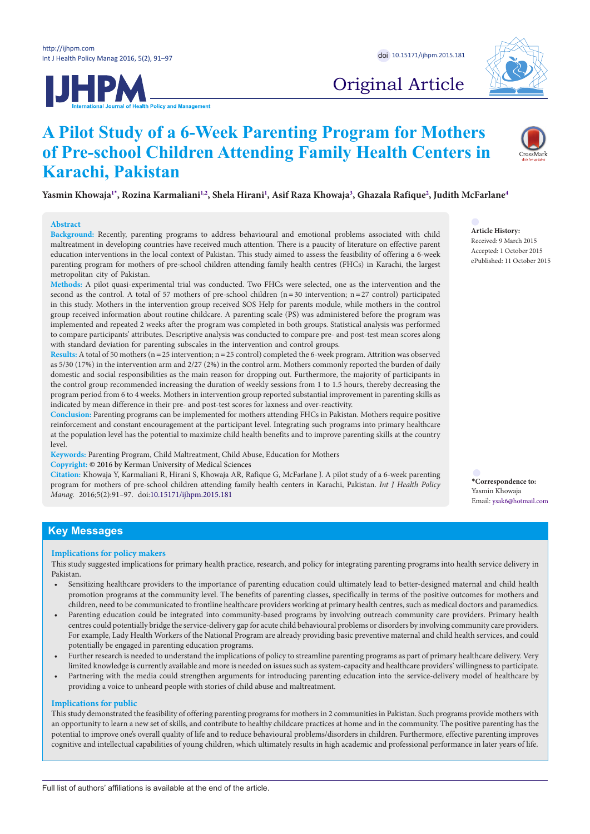



# Original Article

# **A Pilot Study of a 6-Week Parenting Program for Mothers of Pre-school Children Attending Family Health Centers in Karachi, Pakistan**

**Yasmin Khowaj[a1](#page-6-0)[\\*](#page-0-0) , Rozina Karmalian[i1](#page-6-0),[2](#page-6-1) , Shela Hirani[1](#page-6-0) , Asif Raza Khowaja[3](#page-6-2) , Ghazala Rafique[2](#page-6-1) , Judith McFarlan[e4](#page-6-3)**

#### **Abstract**

**Background:** Recently, parenting programs to address behavioural and emotional problems associated with child maltreatment in developing countries have received much attention. There is a paucity of literature on effective parent education interventions in the local context of Pakistan. This study aimed to assess the feasibility of offering a 6-week parenting program for mothers of pre-school children attending family health centres (FHCs) in Karachi, the largest metropolitan city of Pakistan.

**Methods:** A pilot quasi-experimental trial was conducted. Two FHCs were selected, one as the intervention and the second as the control. A total of 57 mothers of pre-school children  $(n=30$  intervention;  $n=27$  control) participated in this study. Mothers in the intervention group received SOS Help for parents module, while mothers in the control group received information about routine childcare. A parenting scale (PS) was administered before the program was implemented and repeated 2 weeks after the program was completed in both groups. Statistical analysis was performed to compare participants' attributes. Descriptive analysis was conducted to compare pre- and post-test mean scores along with standard deviation for parenting subscales in the intervention and control groups.

**Results:** A total of 50 mothers (n=25 intervention; n=25 control) completed the 6-week program. Attrition was observed as 5/30 (17%) in the intervention arm and 2/27 (2%) in the control arm. Mothers commonly reported the burden of daily domestic and social responsibilities as the main reason for dropping out. Furthermore, the majority of participants in the control group recommended increasing the duration of weekly sessions from 1 to 1.5 hours, thereby decreasing the program period from 6 to 4 weeks. Mothers in intervention group reported substantial improvement in parenting skills as indicated by mean difference in their pre- and post-test scores for laxness and over-reactivity.

**Conclusion:** Parenting programs can be implemented for mothers attending FHCs in Pakistan. Mothers require positive reinforcement and constant encouragement at the participant level. Integrating such programs into primary healthcare at the population level has the potential to maximize child health benefits and to improve parenting skills at the country level.

**Keywords:** Parenting Program, Child Maltreatment, Child Abuse, Education for Mothers

**Copyright:** © 2016 by Kerman University of Medical Sciences

**Citation:** Khowaja Y, Karmaliani R, Hirani S, Khowaja AR, Rafique G, McFarlane J. A pilot study of a 6-week parenting program for mothers of pre-school children attending family health centers in Karachi, Pakistan. *Int J Health Policy Manag.* 2016;5(2):91–97. doi:[10.15171/ijhpm.2015.181](http://dx.doi.org/10.15171/ijhpm.2015.181)

**Article History:**

Received: 9 March 2015 Accepted: 1 October 2015 ePublished: 11 October 2015

<span id="page-0-0"></span>**\*Correspondence to:** Yasmin Khowaja Email: ysak6@hotmail.com

# **Key Messages**

#### **Implications for policy makers**

This study suggested implications for primary health practice, research, and policy for integrating parenting programs into health service delivery in Pakistan.

- Sensitizing healthcare providers to the importance of parenting education could ultimately lead to better-designed maternal and child health promotion programs at the community level. The benefits of parenting classes, specifically in terms of the positive outcomes for mothers and children, need to be communicated to frontline healthcare providers working at primary health centres, such as medical doctors and paramedics.
- Parenting education could be integrated into community-based programs by involving outreach community care providers. Primary health centres could potentially bridge the service-delivery gap for acute child behavioural problems or disorders by involving community care providers. For example, Lady Health Workers of the National Program are already providing basic preventive maternal and child health services, and could potentially be engaged in parenting education programs.
- Further research is needed to understand the implications of policy to streamline parenting programs as part of primary healthcare delivery. Very limited knowledge is currently available and more is needed on issues such as system-capacity and healthcare providers' willingness to participate.
- Partnering with the media could strengthen arguments for introducing parenting education into the service-delivery model of healthcare by providing a voice to unheard people with stories of child abuse and maltreatment.

#### **Implications for public**

This study demonstrated the feasibility of offering parenting programs for mothers in 2 communities in Pakistan. Such programs provide mothers with an opportunity to learn a new set of skills, and contribute to healthy childcare practices at home and in the community. The positive parenting has the potential to improve one's overall quality of life and to reduce behavioural problems/disorders in children. Furthermore, effective parenting improves cognitive and intellectual capabilities of young children, which ultimately results in high academic and professional performance in later years of life.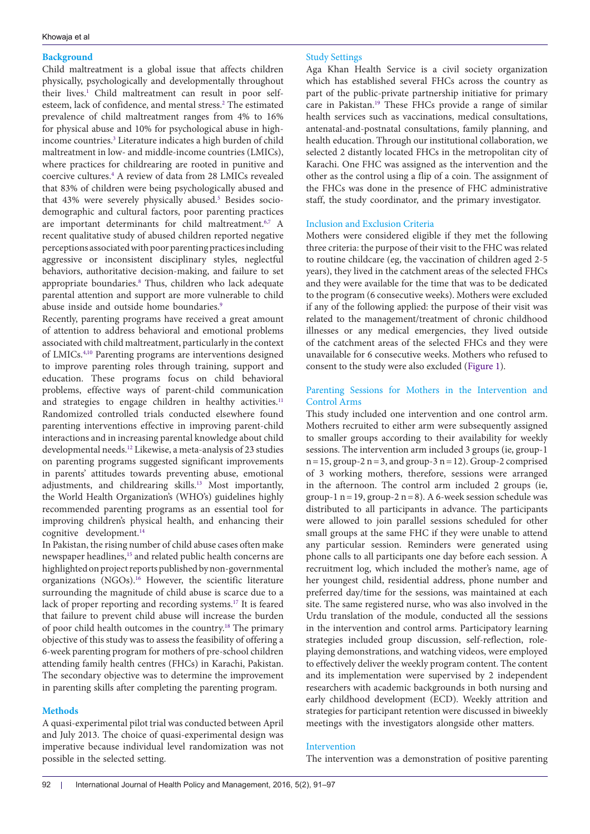# **Background**

Child maltreatment is a global issue that affects children physically, psychologically and developmentally throughout their lives.<sup>1</sup> Child maltreatment can result in poor selfesteem, lack of confidence, and mental stress.<sup>2</sup> The estimated prevalence of child maltreatment ranges from 4% to 16% for physical abuse and 10% for psychological abuse in highincome countries.[3](#page-6-2) Literature indicates a high burden of child maltreatment in low- and middle-income countries (LMICs), where practices for childrearing are rooted in punitive and coercive cultures[.4](#page-6-3) A review of data from 28 LMICs revealed that 83% of children were being psychologically abused and that 43% were severely physically abused.<sup>5</sup> Besides sociodemographic and cultural factors, poor parenting practices are important determinants for child maltreatment.<sup>6[,7](#page-6-6)</sup> A recent qualitative study of abused children reported negative perceptions associated with poor parenting practices including aggressive or inconsistent disciplinary styles, neglectful behaviors, authoritative decision-making, and failure to set appropriate boundaries.[8](#page-6-7) Thus, children who lack adequate parental attention and support are more vulnerable to child abuse inside and outside home boundaries.<sup>[9](#page-6-8)</sup>

Recently, parenting programs have received a great amount of attention to address behavioral and emotional problems associated with child maltreatment, particularly in the context of LMICs.[4](#page-6-3),[10](#page-6-9) Parenting programs are interventions designed to improve parenting roles through training, support and education. These programs focus on child behavioral problems, effective ways of parent-child communication and strategies to engage children in healthy activities.<sup>[11](#page-6-10)</sup> Randomized controlled trials conducted elsewhere found parenting interventions effective in improving parent-child interactions and in increasing parental knowledge about child developmental needs[.12](#page-6-11) Likewise, a meta-analysis of 23 studies on parenting programs suggested significant improvements in parents' attitudes towards preventing abuse, emotional adjustments, and childrearing skills[.13](#page-6-12) Most importantly, the World Health Organization's (WHO's) guidelines highly recommended parenting programs as an essential tool for improving children's physical health, and enhancing their cognitive development.<sup>[14](#page-6-13)</sup>

In Pakistan, the rising number of child abuse cases often make newspaper headlines,<sup>[15](#page-6-14)</sup> and related public health concerns are highlighted on project reports published by non-governmental organizations (NGOs).[16](#page-6-15) However, the scientific literature surrounding the magnitude of child abuse is scarce due to a lack of proper reporting and recording systems[.17](#page-6-16) It is feared that failure to prevent child abuse will increase the burden of poor child health outcomes in the country.[18](#page-6-17) The primary objective of this study was to assess the feasibility of offering a 6-week parenting program for mothers of pre-school children attending family health centres (FHCs) in Karachi, Pakistan. The secondary objective was to determine the improvement in parenting skills after completing the parenting program.

# **Methods**

A quasi-experimental pilot trial was conducted between April and July 2013. The choice of quasi-experimental design was imperative because individual level randomization was not possible in the selected setting.

# Study Settings

Aga Khan Health Service is a civil society organization which has established several FHCs across the country as part of the public-private partnership initiative for primary care in Pakistan[.19](#page-6-18) These FHCs provide a range of similar health services such as vaccinations, medical consultations, antenatal-and-postnatal consultations, family planning, and health education. Through our institutional collaboration, we selected 2 distantly located FHCs in the metropolitan city of Karachi. One FHC was assigned as the intervention and the other as the control using a flip of a coin. The assignment of the FHCs was done in the presence of FHC administrative staff, the study coordinator, and the primary investigator.

# Inclusion and Exclusion Criteria

Mothers were considered eligible if they met the following three criteria: the purpose of their visit to the FHC was related to routine childcare (eg, the vaccination of children aged 2-5 years), they lived in the catchment areas of the selected FHCs and they were available for the time that was to be dedicated to the program (6 consecutive weeks). Mothers were excluded if any of the following applied: the purpose of their visit was related to the management/treatment of chronic childhood illnesses or any medical emergencies, they lived outside of the catchment areas of the selected FHCs and they were unavailable for 6 consecutive weeks. Mothers who refused to consent to the study were also excluded ([Figure 1\)](#page-2-0).

# Parenting Sessions for Mothers in the Intervention and Control Arms

This study included one intervention and one control arm. Mothers recruited to either arm were subsequently assigned to smaller groups according to their availability for weekly sessions. The intervention arm included 3 groups (ie, group-1  $n=15$ , group-2  $n=3$ , and group-3  $n=12$ ). Group-2 comprised of 3 working mothers, therefore, sessions were arranged in the afternoon. The control arm included 2 groups (ie, group-1 n = 19, group-2 n = 8). A 6-week session schedule was distributed to all participants in advance. The participants were allowed to join parallel sessions scheduled for other small groups at the same FHC if they were unable to attend any particular session. Reminders were generated using phone calls to all participants one day before each session. A recruitment log, which included the mother's name, age of her youngest child, residential address, phone number and preferred day/time for the sessions, was maintained at each site. The same registered nurse, who was also involved in the Urdu translation of the module, conducted all the sessions in the intervention and control arms. Participatory learning strategies included group discussion, self-reflection, roleplaying demonstrations, and watching videos, were employed to effectively deliver the weekly program content. The content and its implementation were supervised by 2 independent researchers with academic backgrounds in both nursing and early childhood development (ECD). Weekly attrition and strategies for participant retention were discussed in biweekly meetings with the investigators alongside other matters.

# Intervention

The intervention was a demonstration of positive parenting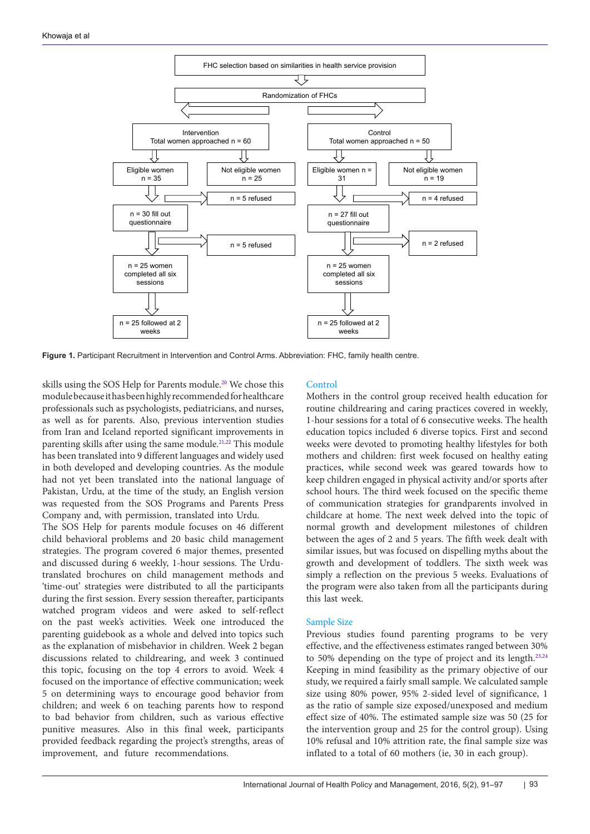<span id="page-2-0"></span>

**Figure 1.** Participant Recruitment in Intervention and Control Arms. Abbreviation: FHC, family health centre.

skills using the SOS Help for Parents module.<sup>20</sup> We chose this module because it has been highly recommended for healthcare professionals such as psychologists, pediatricians, and nurses, as well as for parents. Also, previous intervention studies from Iran and Iceland reported significant improvements in parenting skills after using the same module.<sup>[21](#page-6-20),[22](#page-6-21)</sup> This module has been translated into 9 different languages and widely used in both developed and developing countries. As the module had not yet been translated into the national language of Pakistan, Urdu, at the time of the study, an English version was requested from the SOS Programs and Parents Press Company and, with permission, translated into Urdu.

The SOS Help for parents module focuses on 46 different child behavioral problems and 20 basic child management strategies. The program covered 6 major themes, presented and discussed during 6 weekly, 1-hour sessions. The Urdutranslated brochures on child management methods and 'time-out' strategies were distributed to all the participants during the first session. Every session thereafter, participants watched program videos and were asked to self-reflect on the past week's activities. Week one introduced the parenting guidebook as a whole and delved into topics such as the explanation of misbehavior in children. Week 2 began discussions related to childrearing, and week 3 continued this topic, focusing on the top 4 errors to avoid. Week 4 focused on the importance of effective communication; week 5 on determining ways to encourage good behavior from children; and week 6 on teaching parents how to respond to bad behavior from children, such as various effective punitive measures. Also in this final week, participants provided feedback regarding the project's strengths, areas of improvement, and future recommendations.

# **Control**

Mothers in the control group received health education for routine childrearing and caring practices covered in weekly, 1-hour sessions for a total of 6 consecutive weeks. The health education topics included 6 diverse topics. First and second weeks were devoted to promoting healthy lifestyles for both mothers and children: first week focused on healthy eating practices, while second week was geared towards how to keep children engaged in physical activity and/or sports after school hours. The third week focused on the specific theme of communication strategies for grandparents involved in childcare at home. The next week delved into the topic of normal growth and development milestones of children between the ages of 2 and 5 years. The fifth week dealt with similar issues, but was focused on dispelling myths about the growth and development of toddlers. The sixth week was simply a reflection on the previous 5 weeks. Evaluations of the program were also taken from all the participants during this last week.

## Sample Size

Previous studies found parenting programs to be very effective, and the effectiveness estimates ranged between 30% to 50% depending on the type of project and its length[.23](#page-6-22)[,24](#page-6-23) Keeping in mind feasibility as the primary objective of our study, we required a fairly small sample. We calculated sample size using 80% power, 95% 2-sided level of significance, 1 as the ratio of sample size exposed/unexposed and medium effect size of 40%. The estimated sample size was 50 (25 for the intervention group and 25 for the control group). Using 10% refusal and 10% attrition rate, the final sample size was inflated to a total of 60 mothers (ie, 30 in each group).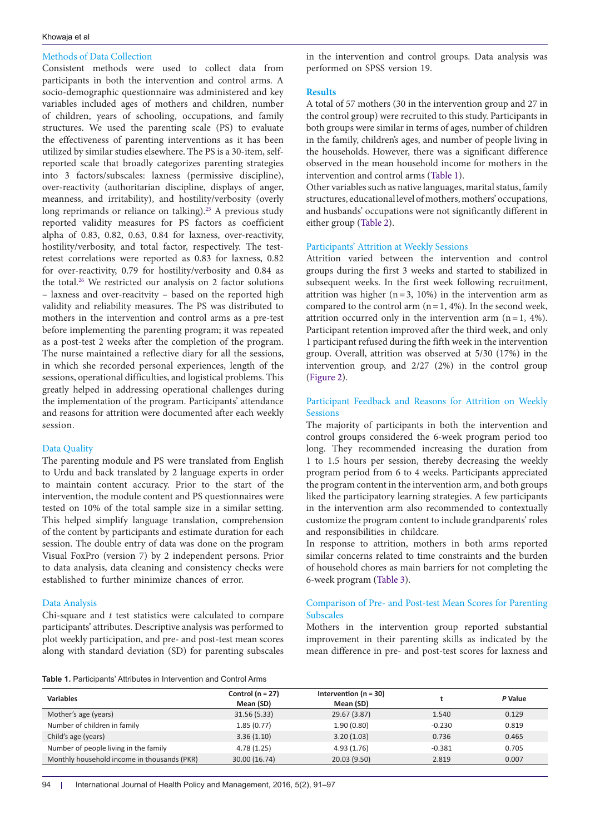## Khowaja et al

# Methods of Data Collection

Consistent methods were used to collect data from participants in both the intervention and control arms. A socio-demographic questionnaire was administered and key variables included ages of mothers and children, number of children, years of schooling, occupations, and family structures. We used the parenting scale (PS) to evaluate the effectiveness of parenting interventions as it has been utilized by similar studies elsewhere. The PS is a 30-item, selfreported scale that broadly categorizes parenting strategies into 3 factors/subscales: laxness (permissive discipline), over-reactivity (authoritarian discipline, displays of anger, meanness, and irritability), and hostility/verbosity (overly long reprimands or reliance on talking).<sup>25</sup> A previous study reported validity measures for PS factors as coefficient alpha of 0.83, 0.82, 0.63, 0.84 for laxness, over-reactivity, hostility/verbosity, and total factor, respectively. The testretest correlations were reported as 0.83 for laxness, 0.82 for over-reactivity, 0.79 for hostility/verbosity and 0.84 as the total.<sup>26</sup> We restricted our analysis on 2 factor solutions – laxness and over-reacitvity – based on the reported high validity and reliability measures. The PS was distributed to mothers in the intervention and control arms as a pre-test before implementing the parenting program; it was repeated as a post-test 2 weeks after the completion of the program. The nurse maintained a reflective diary for all the sessions, in which she recorded personal experiences, length of the sessions, operational difficulties, and logistical problems. This greatly helped in addressing operational challenges during the implementation of the program. Participants' attendance and reasons for attrition were documented after each weekly session.

# Data Quality

The parenting module and PS were translated from English to Urdu and back translated by 2 language experts in order to maintain content accuracy. Prior to the start of the intervention, the module content and PS questionnaires were tested on 10% of the total sample size in a similar setting. This helped simplify language translation, comprehension of the content by participants and estimate duration for each session. The double entry of data was done on the program Visual FoxPro (version 7) by 2 independent persons. Prior to data analysis, data cleaning and consistency checks were established to further minimize chances of error.

## Data Analysis

Chi-square and *t* test statistics were calculated to compare participants' attributes. Descriptive analysis was performed to plot weekly participation, and pre- and post-test mean scores along with standard deviation (SD) for parenting subscales in the intervention and control groups. Data analysis was performed on SPSS version 19.

## **Results**

A total of 57 mothers (30 in the intervention group and 27 in the control group) were recruited to this study. Participants in both groups were similar in terms of ages, number of children in the family, children's ages, and number of people living in the households. However, there was a significant difference observed in the mean household income for mothers in the intervention and control arms (Table 1).

Other variables such as native languages, marital status, family structures, educational level of mothers, mothers' occupations, and husbands' occupations were not significantly different in either group (Table 2).

## Participants' Attrition at Weekly Sessions

Attrition varied between the intervention and control groups during the first 3 weeks and started to stabilized in subsequent weeks. In the first week following recruitment, attrition was higher ( $n=3$ , 10%) in the intervention arm as compared to the control arm  $(n=1, 4\%)$ . In the second week, attrition occurred only in the intervention arm  $(n=1, 4\%)$ . Participant retention improved after the third week, and only 1 participant refused during the fifth week in the intervention group. Overall, attrition was observed at 5/30 (17%) in the intervention group, and 2/27 (2%) in the control group [\(Figure 2](#page-4-0)).

# Participant Feedback and Reasons for Attrition on Weekly **Sessions**

The majority of participants in both the intervention and control groups considered the 6-week program period too long. They recommended increasing the duration from 1 to 1.5 hours per session, thereby decreasing the weekly program period from 6 to 4 weeks. Participants appreciated the program content in the intervention arm, and both groups liked the participatory learning strategies. A few participants in the intervention arm also recommended to contextually customize the program content to include grandparents' roles and responsibilities in childcare.

In response to attrition, mothers in both arms reported similar concerns related to time constraints and the burden of household chores as main barriers for not completing the 6-week program [\(Table 3\)](#page-5-0).

# Comparison of Pre- and Post-test Mean Scores for Parenting Subscales

Mothers in the intervention group reported substantial improvement in their parenting skills as indicated by the mean difference in pre- and post-test scores for laxness and

**Table 1.** Participants' Attributes in Intervention and Control Arms

| <b>Variables</b>                            | Control ( $n = 27$ )<br>Mean (SD) | Intervention ( $n = 30$ )<br>Mean (SD) |          | P Value |
|---------------------------------------------|-----------------------------------|----------------------------------------|----------|---------|
| Mother's age (years)                        | 31.56(5.33)                       | 29.67 (3.87)                           | 1.540    | 0.129   |
| Number of children in family                | 1.85(0.77)                        | 1.90(0.80)                             | $-0.230$ | 0.819   |
| Child's age (years)                         | 3.36(1.10)                        | 3.20(1.03)                             | 0.736    | 0.465   |
| Number of people living in the family       | 4.78(1.25)                        | 4.93(1.76)                             | $-0.381$ | 0.705   |
| Monthly household income in thousands (PKR) | 30.00 (16.74)                     | 20.03(9.50)                            | 2.819    | 0.007   |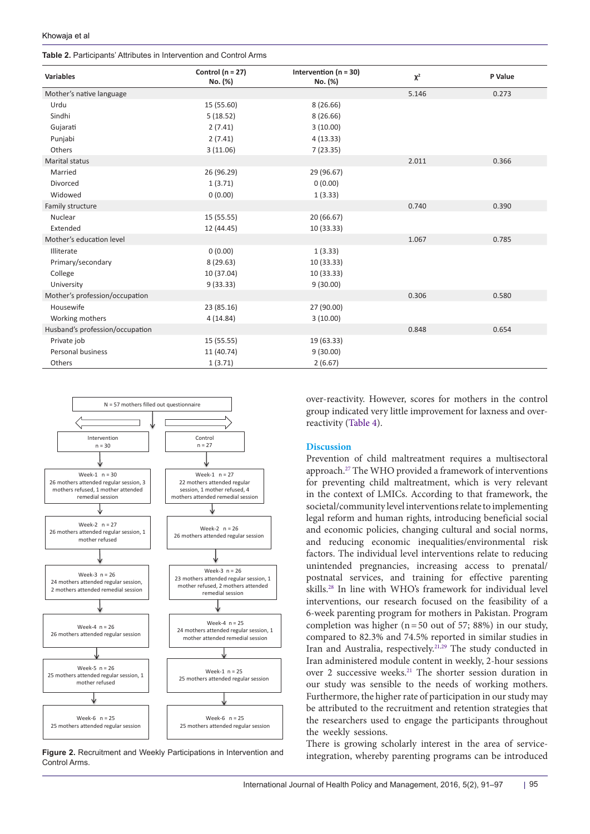**Table 2.** Participants' Attributes in Intervention and Control Arms

| <b>Variables</b>                | Control ( $n = 27$ ) | Intervention ( $n = 30$ ) | $\pmb{\chi}^2$ | P Value |
|---------------------------------|----------------------|---------------------------|----------------|---------|
|                                 | No. (%)              | No. (%)                   |                |         |
| Mother's native language        |                      |                           | 5.146          | 0.273   |
| Urdu                            | 15 (55.60)           | 8(26.66)                  |                |         |
| Sindhi                          | 5(18.52)             | 8(26.66)                  |                |         |
| Gujarati                        | 2(7.41)              | 3(10.00)                  |                |         |
| Punjabi                         | 2(7.41)              | 4(13.33)                  |                |         |
| Others                          | 3(11.06)             | 7(23.35)                  |                |         |
| <b>Marital status</b>           |                      |                           | 2.011          | 0.366   |
| Married                         | 26 (96.29)           | 29 (96.67)                |                |         |
| Divorced                        | 1(3.71)              | 0(0.00)                   |                |         |
| Widowed                         | 0(0.00)              | 1(3.33)                   |                |         |
| Family structure                |                      |                           | 0.740          | 0.390   |
| Nuclear                         | 15 (55.55)           | 20 (66.67)                |                |         |
| Extended                        | 12 (44.45)           | 10 (33.33)                |                |         |
| Mother's education level        |                      |                           | 1.067          | 0.785   |
| Illiterate                      | 0(0.00)              | 1(3.33)                   |                |         |
| Primary/secondary               | 8(29.63)             | 10 (33.33)                |                |         |
| College                         | 10 (37.04)           | 10 (33.33)                |                |         |
| University                      | 9(33.33)             | 9(30.00)                  |                |         |
| Mother's profession/occupation  |                      |                           | 0.306          | 0.580   |
| Housewife                       | 23 (85.16)           | 27 (90.00)                |                |         |
| Working mothers                 | 4(14.84)             | 3(10.00)                  |                |         |
| Husband's profession/occupation |                      |                           | 0.848          | 0.654   |
| Private job                     | 15 (55.55)           | 19 (63.33)                |                |         |
| Personal business               | 11 (40.74)           | 9(30.00)                  |                |         |
| Others                          | 1(3.71)              | 2(6.67)                   |                |         |

<span id="page-4-0"></span>

**Figure 2.** Recruitment and Weekly Participations in Intervention and Control Arms.

over-reactivity. However, scores for mothers in the control group indicated very little improvement for laxness and overreactivity ([Table 4](#page-5-1)).

## **Discussion**

Prevention of child maltreatment requires a multisectoral approach[.27](#page-6-26) The WHO provided a framework of interventions for preventing child maltreatment, which is very relevant in the context of LMICs. According to that framework, the societal/community level interventions relate to implementing legal reform and human rights, introducing beneficial social and economic policies, changing cultural and social norms, and reducing economic inequalities/environmental risk factors. The individual level interventions relate to reducing unintended pregnancies, increasing access to prenatal/ postnatal services, and training for effective parenting skills[.28](#page-6-27) In line with WHO's framework for individual level interventions, our research focused on the feasibility of a 6-week parenting program for mothers in Pakistan. Program completion was higher ( $n=50$  out of 57; 88%) in our study, compared to 82.3% and 74.5% reported in similar studies in Iran and Australia, respectively[.21](#page-6-20)[,29](#page-6-28) The study conducted in Iran administered module content in weekly, 2-hour sessions over 2 successive weeks[.21](#page-6-20) The shorter session duration in our study was sensible to the needs of working mothers. Furthermore, the higher rate of participation in our study may be attributed to the recruitment and retention strategies that the researchers used to engage the participants throughout the weekly sessions.

There is growing scholarly interest in the area of serviceintegration, whereby parenting programs can be introduced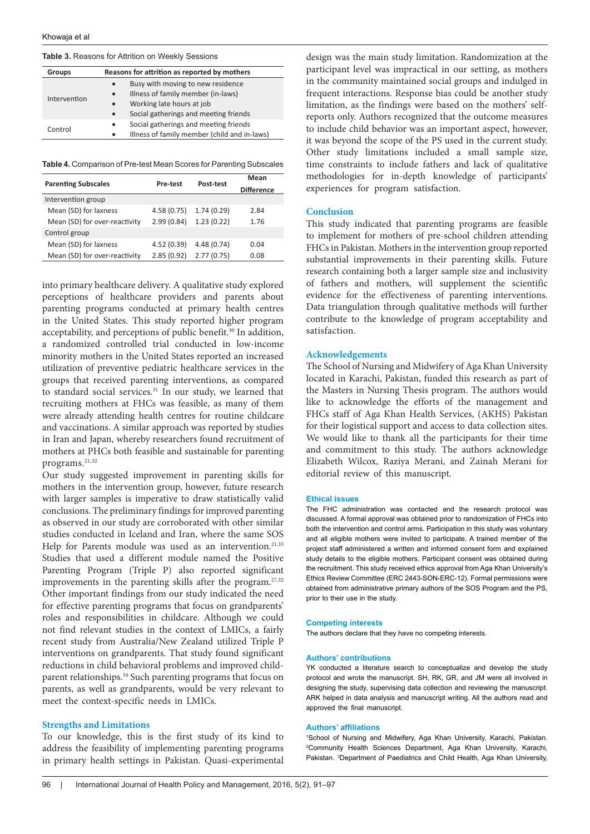<span id="page-5-0"></span>**Table 3.** Reasons for Attrition on Weekly Sessions

| Groups       | Reasons for attrition as reported by mothers       |  |  |  |
|--------------|----------------------------------------------------|--|--|--|
| Intervention | Busy with moving to new residence<br>$\bullet$     |  |  |  |
|              | Illness of family member (in-laws)<br>$\bullet$    |  |  |  |
|              | Working late hours at job<br>$\bullet$             |  |  |  |
|              | Social gatherings and meeting friends<br>$\bullet$ |  |  |  |
| Control      | Social gatherings and meeting friends<br>$\bullet$ |  |  |  |
|              | Illness of family member (child and in-laws)       |  |  |  |

<span id="page-5-1"></span>**Table 4.** Comparison of Pre-test Mean Scores for Parenting Subscales

| <b>Parenting Subscales</b>    | Pre-test    | Post-test   | Mean<br><b>Difference</b> |
|-------------------------------|-------------|-------------|---------------------------|
| Intervention group            |             |             |                           |
| Mean (SD) for laxness         | 4.58(0.75)  | 1.74(0.29)  | 2.84                      |
| Mean (SD) for over-reactivity | 2.99(0.84)  | 1.23(0.22)  | 1.76                      |
| Control group                 |             |             |                           |
| Mean (SD) for laxness         | 4.52 (0.39) | 4.48 (0.74) | 0.04                      |
| Mean (SD) for over-reactivity | 2.85(0.92)  | 2.77(0.75)  | 0.08                      |

into primary healthcare delivery. A qualitative study explored perceptions of healthcare providers and parents about parenting programs conducted at primary health centres in the United States. This study reported higher program acceptability, and perceptions of public benefit.<sup>30</sup> In addition, a randomized controlled trial conducted in low-income minority mothers in the United States reported an increased utilization of preventive pediatric healthcare services in the groups that received parenting interventions, as compared to standard social services.<sup>31</sup> In our study, we learned that recruiting mothers at FHCs was feasible, as many of them were already attending health centres for routine childcare and vaccinations. A similar approach was reported by studies in Iran and Japan, whereby researchers found recruitment of mothers at PHCs both feasible and sustainable for parenting programs.[21](#page-6-20)[,32](#page-6-31)

Our study suggested improvement in parenting skills for mothers in the intervention group, however, future research with larger samples is imperative to draw statistically valid conclusions. The preliminary findings for improved parenting as observed in our study are corroborated with other similar studies conducted in Iceland and Iran, where the same SOS Help for Parents module was used as an intervention.<sup>[21](#page-6-20),[33](#page-6-32)</sup> Studies that used a different module named the Positive Parenting Program (Triple P) also reported significant improvements in the parenting skills after the program.<sup>[27](#page-6-26),[32](#page-6-31)</sup> Other important findings from our study indicated the need for effective parenting programs that focus on grandparents' roles and responsibilities in childcare. Although we could not find relevant studies in the context of LMICs, a fairly recent study from Australia/New Zealand utilized Triple P interventions on grandparents. That study found significant reductions in child behavioral problems and improved childparent relationships.[34](#page-6-33) Such parenting programs that focus on parents, as well as grandparents, would be very relevant to meet the context-specific needs in LMICs.

#### **Strengths and Limitations**

To our knowledge, this is the first study of its kind to address the feasibility of implementing parenting programs in primary health settings in Pakistan. Quasi-experimental

design was the main study limitation. Randomization at the participant level was impractical in our setting, as mothers in the community maintained social groups and indulged in frequent interactions. Response bias could be another study limitation, as the findings were based on the mothers' selfreports only. Authors recognized that the outcome measures to include child behavior was an important aspect, however, it was beyond the scope of the PS used in the current study. Other study limitations included a small sample size, time constraints to include fathers and lack of qualitative methodologies for in-depth knowledge of participants' experiences for program satisfaction.

## **Conclusion**

This study indicated that parenting programs are feasible to implement for mothers of pre-school children attending FHCs in Pakistan. Mothers in the intervention group reported substantial improvements in their parenting skills. Future research containing both a larger sample size and inclusivity of fathers and mothers, will supplement the scientific evidence for the effectiveness of parenting interventions. Data triangulation through qualitative methods will further contribute to the knowledge of program acceptability and satisfaction.

#### **Acknowledgements**

The School of Nursing and Midwifery of Aga Khan University located in Karachi, Pakistan, funded this research as part of the Masters in Nursing Thesis program. The authors would like to acknowledge the efforts of the management and FHCs staff of Aga Khan Health Services, (AKHS) Pakistan for their logistical support and access to data collection sites. We would like to thank all the participants for their time and commitment to this study. The authors acknowledge Elizabeth Wilcox, Raziya Merani, and Zainah Merani for editorial review of this manuscript.

#### **Ethical issues**

The FHC administration was contacted and the research protocol was discussed. A formal approval was obtained prior to randomization of FHCs into both the intervention and control arms. Participation in this study was voluntary and all eligible mothers were invited to participate. A trained member of the project staff administered a written and informed consent form and explained study details to the eligible mothers. Participant consent was obtained during the recruitment. This study received ethics approval from Aga Khan University's Ethics Review Committee (ERC 2443-SON-ERC-12). Formal permissions were obtained from administrative primary authors of the SOS Program and the PS, prior to their use in the study.

#### **Competing interests**

The authors declare that they have no competing interests.

#### **Authors' contributions**

YK conducted a literature search to conceptualize and develop the study protocol and wrote the manuscript. SH, RK, GR, and JM were all involved in designing the study, supervising data collection and reviewing the manuscript. ARK helped in data analysis and manuscript writing. All the authors read and approved the final manuscript.

#### **Authors' affiliations**

1 School of Nursing and Midwifery, Aga Khan University, Karachi, Pakistan. 2 Community Health Sciences Department, Aga Khan University, Karachi, Pakistan. <sup>3</sup>Department of Paediatrics and Child Health, Aga Khan University,